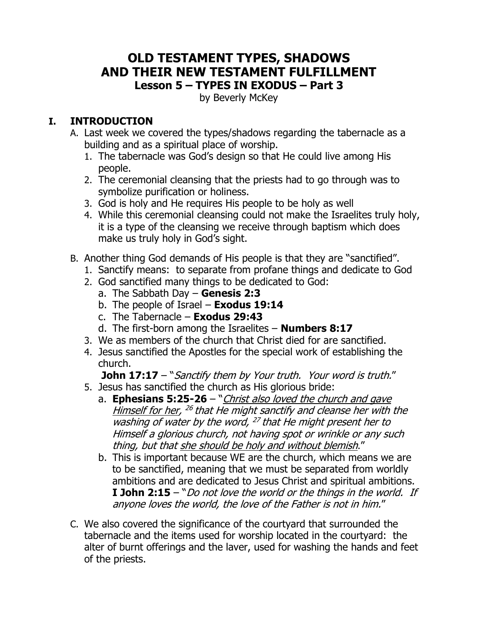#### **OLD TESTAMENT TYPES, SHADOWS AND THEIR NEW TESTAMENT FULFILLMENT Lesson 5 – TYPES IN EXODUS – Part 3**

by Beverly McKey

### **I. INTRODUCTION**

- A. Last week we covered the types/shadows regarding the tabernacle as a building and as a spiritual place of worship.
	- 1. The tabernacle was God's design so that He could live among His people.
	- 2. The ceremonial cleansing that the priests had to go through was to symbolize purification or holiness.
	- 3. God is holy and He requires His people to be holy as well
	- 4. While this ceremonial cleansing could not make the Israelites truly holy, it is a type of the cleansing we receive through baptism which does make us truly holy in God's sight.
- B. Another thing God demands of His people is that they are "sanctified".
	- 1. Sanctify means: to separate from profane things and dedicate to God
	- 2. God sanctified many things to be dedicated to God:
		- a. The Sabbath Day **Genesis 2:3**
		- b. The people of Israel **Exodus 19:14**
		- c. The Tabernacle **Exodus 29:43**
		- d. The first-born among the Israelites **Numbers 8:17**
	- 3. We as members of the church that Christ died for are sanctified.
	- 4. Jesus sanctified the Apostles for the special work of establishing the church.

**John 17:17** – "Sanctify them by Your truth. Your word is truth."

- 5. Jesus has sanctified the church as His glorious bride:
	- a. **Ephesians 5:25-26** "*Christ also loved the church and gave* Himself for her, <sup>26</sup> that He might sanctify and cleanse her with the washing of water by the word,  $^{27}$  that He might present her to Himself a glorious church, not having spot or wrinkle or any such thing, but that she should be holy and without blemish."
	- b. This is important because WE are the church, which means we are to be sanctified, meaning that we must be separated from worldly ambitions and are dedicated to Jesus Christ and spiritual ambitions. **I John 2:15** – "Do not love the world or the things in the world. If anyone loves the world, the love of the Father is not in him."
- C. We also covered the significance of the courtyard that surrounded the tabernacle and the items used for worship located in the courtyard: the alter of burnt offerings and the laver, used for washing the hands and feet of the priests.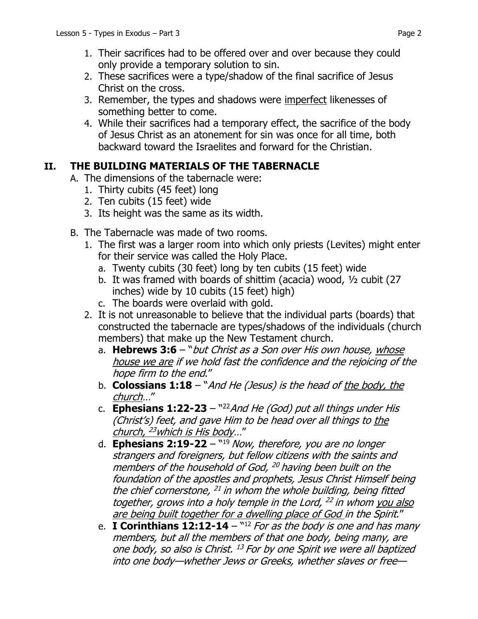- 1. Their sacrifices had to be offered over and over because they could only provide a temporary solution to sin.
- 2. These sacrifices were a type/shadow of the final sacrifice of Jesus Christ on the cross.
- 3. Remember, the types and shadows were imperfect likenesses of something better to come.
- 4. While their sacrifices had a temporary effect, the sacrifice of the body of Jesus Christ as an atonement for sin was once for all time, both backward toward the Israelites and forward for the Christian.

# **II. THE BUILDING MATERIALS OF THE TABERNACLE**

- A. The dimensions of the tabernacle were:
	- 1. Thirty cubits (45 feet) long
	- 2. Ten cubits (15 feet) wide
	- 3. Its height was the same as its width.
- B. The Tabernacle was made of two rooms.
	- 1. The first was a larger room into which only priests (Levites) might enter for their service was called the Holy Place.
		- a. Twenty cubits (30 feet) long by ten cubits (15 feet) wide
		- b. It was framed with boards of shittim (acacia) wood, ½ cubit (27 inches) wide by 10 cubits (15 feet) high)
		- c. The boards were overlaid with gold.
	- 2. It is not unreasonable to believe that the individual parts (boards) that constructed the tabernacle are types/shadows of the individuals (church members) that make up the New Testament church.
		- a. **Hebrews 3:6** "*but Christ as a Son over His own house, whose* house we are if we hold fast the confidence and the rejoicing of the hope firm to the end."
		- b. **Colossians 1:18**  "And He (Jesus) is the head of the body, the church…"
		- c. **Ephesians 1:22-23** "<sup>22</sup> And He (God) put all things under His (Christ's) feet, and gave Him to be head over all things to the church, <sup>23</sup>which is His body…"
		- d. **Ephesians 2:19-22** "<sup>19</sup> Now, therefore, you are no longer strangers and foreigners, but fellow citizens with the saints and members of the household of God, <sup>20</sup> having been built on the foundation of the apostles and prophets, Jesus Christ Himself being the chief cornerstone,  $^{21}$  in whom the whole building, being fitted together, grows into a holy temple in the Lord, <sup>22</sup> in whom you also are being built together for a dwelling place of God in the Spirit."
		- e. I **Corinthians 12:12-14** "<sup>12</sup> For as the body is one and has many members, but all the members of that one body, being many, are one body, so also is Christ. <sup>13</sup> For by one Spirit we were all baptized into one body—whether Jews or Greeks, whether slaves or free—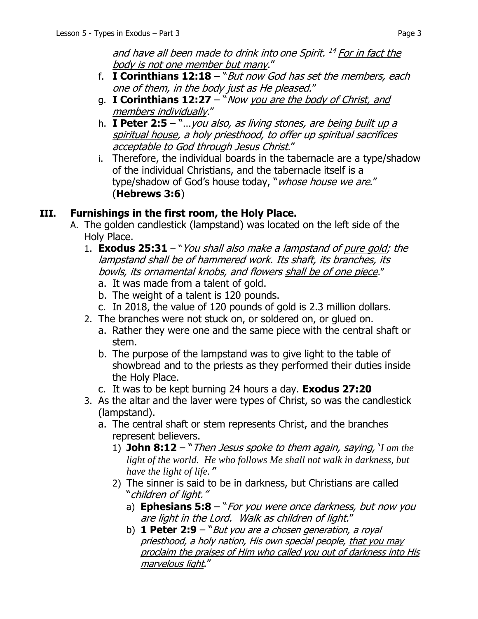and have all been made to drink into one Spirit. <sup>14</sup> For in fact the body is not one member but many."

- f. **I Corinthians 12:18**  "But now God has set the members, each one of them, in the body just as He pleased."
- g. **I Corinthians 12:27**  "Now you are the body of Christ, and members individually."
- h. **I Peter 2:5**  "…you also, as living stones, are being built up a spiritual house, a holy priesthood, to offer up spiritual sacrifices acceptable to God through Jesus Christ."
- i. Therefore, the individual boards in the tabernacle are a type/shadow of the individual Christians, and the tabernacle itself is a type/shadow of God's house today, "whose house we are." (**Hebrews 3:6**)

## **III. Furnishings in the first room, the Holy Place.**

- A. The golden candlestick (lampstand) was located on the left side of the Holy Place.
	- 1. **Exodus 25:31** "You shall also make a lampstand of pure gold; the lampstand shall be of hammered work. Its shaft, its branches, its bowls, its ornamental knobs, and flowers shall be of one piece."
		- a. It was made from a talent of gold.
		- b. The weight of a talent is 120 pounds.
		- c. In 2018, the value of 120 pounds of gold is 2.3 million dollars.
	- 2. The branches were not stuck on, or soldered on, or glued on.
		- a. Rather they were one and the same piece with the central shaft or stem.
		- b. The purpose of the lampstand was to give light to the table of showbread and to the priests as they performed their duties inside the Holy Place.
		- c. It was to be kept burning 24 hours a day. **Exodus 27:20**
	- 3. As the altar and the laver were types of Christ, so was the candlestick (lampstand).
		- a. The central shaft or stem represents Christ, and the branches represent believers.
			- 1) **John 8:12**  "Then Jesus spoke to them again, saying, '*I am the light of the world. He who follows Me shall not walk in darkness, but have the light of life.*'"
			- 2) The sinner is said to be in darkness, but Christians are called "children of light."
				- a) **Ephesians 5:8**  "For you were once darkness, but now you are light in the Lord. Walk as children of light."
				- b) **1 Peter 2:9** "*But you are a chosen generation, a royal* priesthood, a holy nation, His own special people, that you may proclaim the praises of Him who called you out of darkness into His marvelous light."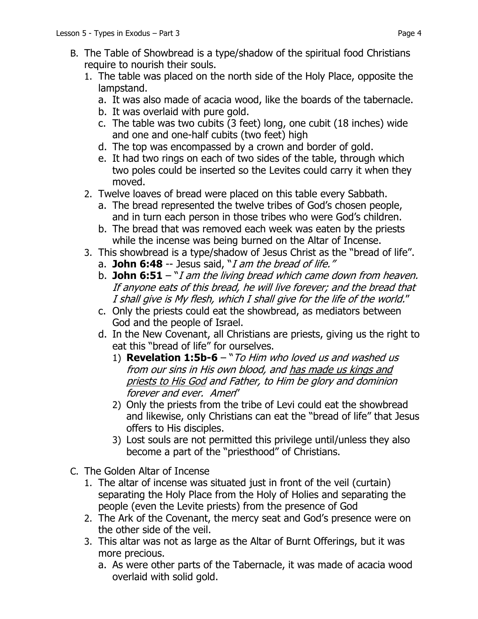- B. The Table of Showbread is a type/shadow of the spiritual food Christians require to nourish their souls.
	- 1. The table was placed on the north side of the Holy Place, opposite the lampstand.
		- a. It was also made of acacia wood, like the boards of the tabernacle.
		- b. It was overlaid with pure gold.
		- c. The table was two cubits (3 feet) long, one cubit (18 inches) wide and one and one-half cubits (two feet) high
		- d. The top was encompassed by a crown and border of gold.
		- e. It had two rings on each of two sides of the table, through which two poles could be inserted so the Levites could carry it when they moved.
	- 2. Twelve loaves of bread were placed on this table every Sabbath.
		- a. The bread represented the twelve tribes of God's chosen people, and in turn each person in those tribes who were God's children.
		- b. The bread that was removed each week was eaten by the priests while the incense was being burned on the Altar of Incense.
	- 3. This showbread is a type/shadow of Jesus Christ as the "bread of life".
		- a. **John 6:48** -- Jesus said, "I am the bread of life."
		- b. **John 6:51**  "I am the living bread which came down from heaven. If anyone eats of this bread, he will live forever; and the bread that I shall give is My flesh, which I shall give for the life of the world."
		- c. Only the priests could eat the showbread, as mediators between God and the people of Israel.
		- d. In the New Covenant, all Christians are priests, giving us the right to eat this "bread of life" for ourselves.
			- 1) **Revelation 1:5b-6**  "To Him who loved us and washed us from our sins in His own blood, and has made us kings and priests to His God and Father, to Him be glory and dominion forever and ever. Amen"
			- 2) Only the priests from the tribe of Levi could eat the showbread and likewise, only Christians can eat the "bread of life" that Jesus offers to His disciples.
			- 3) Lost souls are not permitted this privilege until/unless they also become a part of the "priesthood" of Christians.
- C. The Golden Altar of Incense
	- 1. The altar of incense was situated just in front of the veil (curtain) separating the Holy Place from the Holy of Holies and separating the people (even the Levite priests) from the presence of God
	- 2. The Ark of the Covenant, the mercy seat and God's presence were on the other side of the veil.
	- 3. This altar was not as large as the Altar of Burnt Offerings, but it was more precious.
		- a. As were other parts of the Tabernacle, it was made of acacia wood overlaid with solid gold.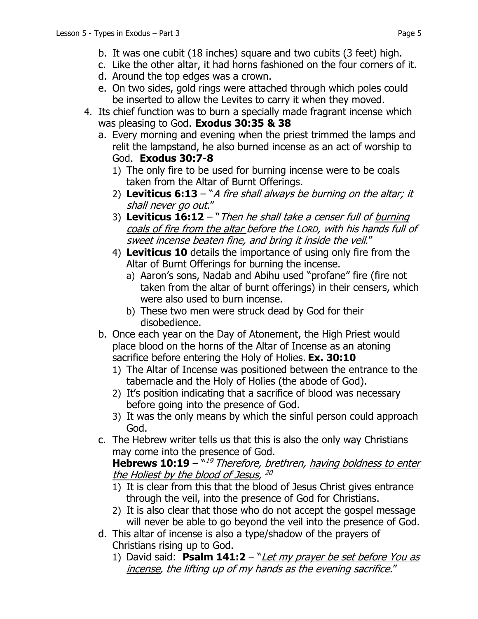- c. Like the other altar, it had horns fashioned on the four corners of it.
- d. Around the top edges was a crown.
- e. On two sides, gold rings were attached through which poles could be inserted to allow the Levites to carry it when they moved.
- 4. Its chief function was to burn a specially made fragrant incense which was pleasing to God. **Exodus 30:35 & 38**
	- a. Every morning and evening when the priest trimmed the lamps and relit the lampstand, he also burned incense as an act of worship to God. **Exodus 30:7-8**
		- 1) The only fire to be used for burning incense were to be coals taken from the Altar of Burnt Offerings.
		- 2) **Leviticus 6:13**  "A fire shall always be burning on the altar; it shall never go out."
		- 3) **Leviticus 16:12**  "Then he shall take a censer full of burning coals of fire from the altar before the LORD, with his hands full of sweet incense beaten fine, and bring it inside the veil."
		- 4) **Leviticus 10** details the importance of using only fire from the Altar of Burnt Offerings for burning the incense.
			- a) Aaron's sons, Nadab and Abihu used "profane" fire (fire not taken from the altar of burnt offerings) in their censers, which were also used to burn incense.
			- b) These two men were struck dead by God for their disobedience.
	- b. Once each year on the Day of Atonement, the High Priest would place blood on the horns of the Altar of Incense as an atoning sacrifice before entering the Holy of Holies. **Ex. 30:10**
		- 1) The Altar of Incense was positioned between the entrance to the tabernacle and the Holy of Holies (the abode of God).
		- 2) It's position indicating that a sacrifice of blood was necessary before going into the presence of God.
		- 3) It was the only means by which the sinful person could approach God.
	- c. The Hebrew writer tells us that this is also the only way Christians may come into the presence of God.

**Hebrews 10:19** – "<sup>19</sup> Therefore, brethren, <u>having boldness to enter</u> the Holiest by the blood of Jesus, 20

- 1) It is clear from this that the blood of Jesus Christ gives entrance through the veil, into the presence of God for Christians.
- 2) It is also clear that those who do not accept the gospel message will never be able to go beyond the veil into the presence of God.
- d. This altar of incense is also a type/shadow of the prayers of Christians rising up to God.
	- 1) David said: Psalm 141:2 "*Let my prayer be set before You as* incense, the lifting up of my hands as the evening sacrifice."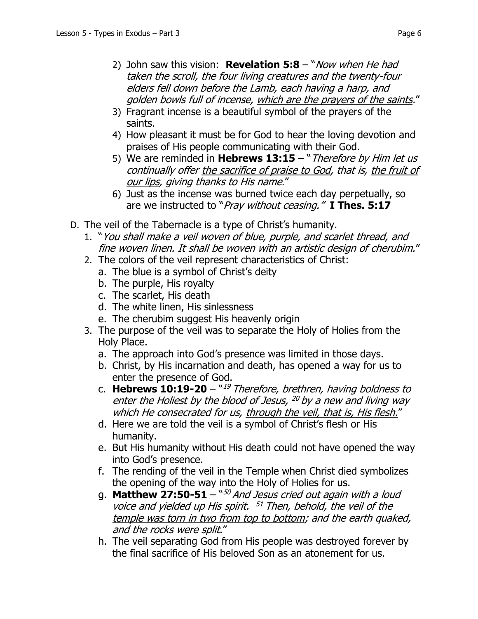- 2) John saw this vision: **Revelation 5:8**  "Now when He had taken the scroll, the four living creatures and the twenty-four elders fell down before the Lamb, each having a harp, and golden bowls full of incense, which are the prayers of the saints."
- 3) Fragrant incense is a beautiful symbol of the prayers of the saints.
- 4) How pleasant it must be for God to hear the loving devotion and praises of His people communicating with their God.
- 5) We are reminded in **Hebrews 13:15**  "Therefore by Him let us continually offer the sacrifice of praise to God, that is, the fruit of our lips, giving thanks to His name."
- 6) Just as the incense was burned twice each day perpetually, so are we instructed to "Pray without ceasing." **I Thes. 5:17**
- D. The veil of the Tabernacle is a type of Christ's humanity.
	- 1. "You shall make a veil woven of blue, purple, and scarlet thread, and fine woven linen. It shall be woven with an artistic design of cherubim."
	- 2. The colors of the veil represent characteristics of Christ:
		- a. The blue is a symbol of Christ's deity
		- b. The purple, His royalty
		- c. The scarlet, His death
		- d. The white linen, His sinlessness
		- e. The cherubim suggest His heavenly origin
	- 3. The purpose of the veil was to separate the Holy of Holies from the Holy Place.
		- a. The approach into God's presence was limited in those days.
		- b. Christ, by His incarnation and death, has opened a way for us to enter the presence of God.
		- c. Hebrews 10:19-20  $^{\mathrm{w19}}$  Therefore, brethren, having boldness to enter the Holiest by the blood of Jesus,  $^{20}$  by a new and living way which He consecrated for us, through the veil, that is, His flesh."
		- d. Here we are told the veil is a symbol of Christ's flesh or His humanity.
		- e. But His humanity without His death could not have opened the way into God's presence.
		- f. The rending of the veil in the Temple when Christ died symbolizes the opening of the way into the Holy of Holies for us.
		- g. **Matthew 27:50-51** ``<sup>50</sup> And Jesus cried out again with a loud voice and yielded up His spirit. <sup>51</sup> Then, behold, the veil of the temple was torn in two from top to bottom; and the earth quaked, and the rocks were split."
		- h. The veil separating God from His people was destroyed forever by the final sacrifice of His beloved Son as an atonement for us.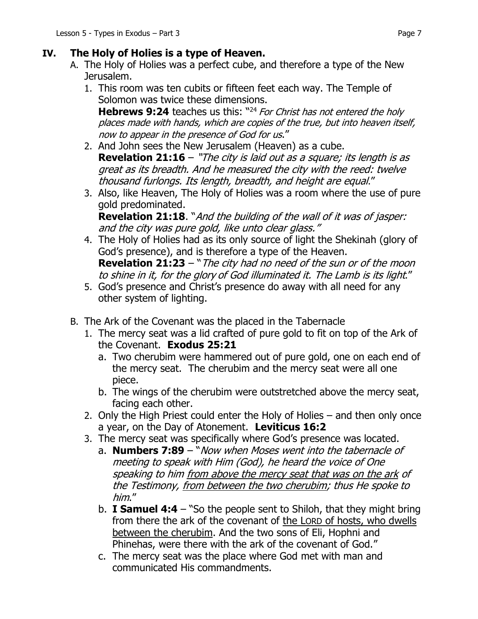### **IV. The Holy of Holies is a type of Heaven.**

- A. The Holy of Holies was a perfect cube, and therefore a type of the New Jerusalem.
	- 1. This room was ten cubits or fifteen feet each way. The Temple of Solomon was twice these dimensions.

**Hebrews 9:24** teaches us this: "<sup>24</sup> For Christ has not entered the holy places made with hands, which are copies of the true, but into heaven itself, now to appear in the presence of God for us."

- 2. And John sees the New Jerusalem (Heaven) as a cube. **Revelation 21:16** – "The city is laid out as a square; its length is as great as its breadth. And he measured the city with the reed: twelve thousand furlongs. Its length, breadth, and height are equal."
- 3. Also, like Heaven, The Holy of Holies was a room where the use of pure gold predominated.

**Revelation 21:18**. "And the building of the wall of it was of jasper: and the city was pure gold, like unto clear glass."

- 4. The Holy of Holies had as its only source of light the Shekinah (glory of God's presence), and is therefore a type of the Heaven. **Revelation 21:23** – "The city had no need of the sun or of the moon to shine in it, for the glory of God illuminated it. The Lamb is its light."
- 5. God's presence and Christ's presence do away with all need for any other system of lighting.
- B. The Ark of the Covenant was the placed in the Tabernacle
	- 1. The mercy seat was a lid crafted of pure gold to fit on top of the Ark of the Covenant. **Exodus 25:21**
		- a. Two cherubim were hammered out of pure gold, one on each end of the mercy seat. The cherubim and the mercy seat were all one piece.
		- b. The wings of the cherubim were outstretched above the mercy seat, facing each other.
	- 2. Only the High Priest could enter the Holy of Holies and then only once a year, on the Day of Atonement. **Leviticus 16:2**
	- 3. The mercy seat was specifically where God's presence was located.
		- a. **Numbers 7:89**  "Now when Moses went into the tabernacle of meeting to speak with Him (God), he heard the voice of One speaking to him from above the mercy seat that was on the ark of the Testimony, from between the two cherubim; thus He spoke to him."
		- b. **I Samuel 4:4**  "So the people sent to Shiloh, that they might bring from there the ark of the covenant of the LORD of hosts, who dwells between the cherubim. And the two sons of Eli, Hophni and Phinehas, were there with the ark of the covenant of God."
		- c. The mercy seat was the place where God met with man and communicated His commandments.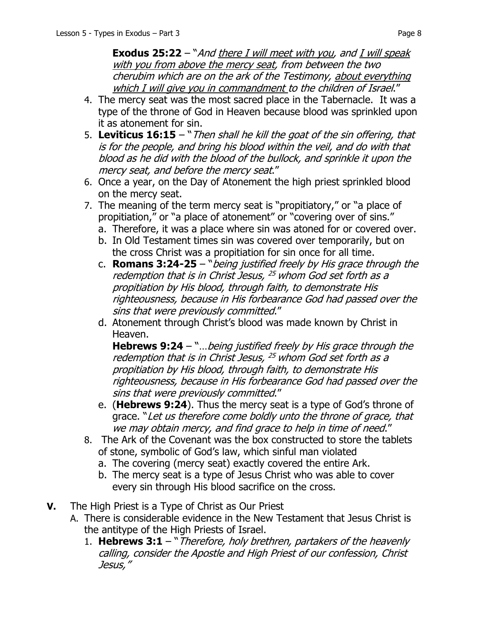**Exodus 25:22** – "And there I will meet with you, and I will speak with you from above the mercy seat, from between the two cherubim which are on the ark of the Testimony, about everything which I will give you in commandment to the children of Israel."

- 4. The mercy seat was the most sacred place in the Tabernacle. It was a type of the throne of God in Heaven because blood was sprinkled upon it as atonement for sin.
- 5. **Leviticus 16:15** "Then shall he kill the goat of the sin offering, that is for the people, and bring his blood within the veil, and do with that blood as he did with the blood of the bullock, and sprinkle it upon the mercy seat, and before the mercy seat."
- 6. Once a year, on the Day of Atonement the high priest sprinkled blood on the mercy seat.
- 7. The meaning of the term mercy seat is "propitiatory," or "a place of propitiation," or "a place of atonement" or "covering over of sins."
	- a. Therefore, it was a place where sin was atoned for or covered over.
	- b. In Old Testament times sin was covered over temporarily, but on the cross Christ was a propitiation for sin once for all time.
	- c. **Romans 3:24-25**  "being justified freely by His grace through the redemption that is in Christ Jesus, <sup>25</sup> whom God set forth as <sup>a</sup> propitiation by His blood, through faith, to demonstrate His righteousness, because in His forbearance God had passed over the sins that were previously committed."
	- d. Atonement through Christ's blood was made known by Christ in Heaven.

**Hebrews 9:24** – "... being justified freely by His grace through the redemption that is in Christ Jesus, <sup>25</sup> whom God set forth as <sup>a</sup> propitiation by His blood, through faith, to demonstrate His righteousness, because in His forbearance God had passed over the sins that were previously committed."

- e. (**Hebrews 9:24**). Thus the mercy seat is a type of God's throne of grace. "Let us therefore come boldly unto the throne of grace, that we may obtain mercy, and find grace to help in time of need."
- 8. The Ark of the Covenant was the box constructed to store the tablets of stone, symbolic of God's law, which sinful man violated
	- a. The covering (mercy seat) exactly covered the entire Ark.
	- b. The mercy seat is a type of Jesus Christ who was able to cover every sin through His blood sacrifice on the cross.
- **V.** The High Priest is a Type of Christ as Our Priest
	- A. There is considerable evidence in the New Testament that Jesus Christ is the antitype of the High Priests of Israel.
		- 1. **Hebrews 3:1**  "Therefore, holy brethren, partakers of the heavenly calling, consider the Apostle and High Priest of our confession, Christ Jesus,"